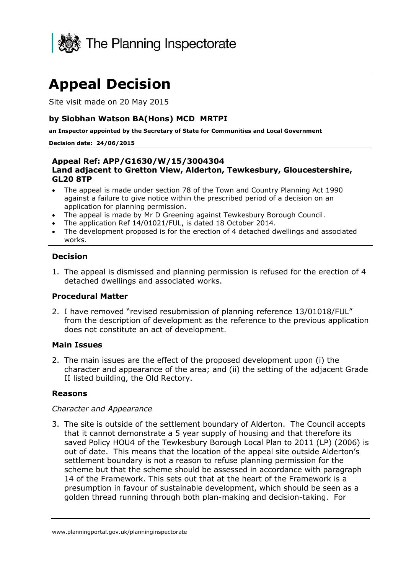

# **Appeal Decision**

Site visit made on 20 May 2015

## **by Siobhan Watson BA(Hons) MCD MRTPI**

**an Inspector appointed by the Secretary of State for Communities and Local Government**

#### **Decision date: 24/06/2015**

#### **Appeal Ref: APP/G1630/W/15/3004304 Land adjacent to Gretton View, Alderton, Tewkesbury, Gloucestershire, GL20 8TP**

- The appeal is made under section 78 of the Town and Country Planning Act 1990 against a failure to give notice within the prescribed period of a decision on an application for planning permission.
- The appeal is made by Mr D Greening against Tewkesbury Borough Council.
- The application Ref 14/01021/FUL, is dated 18 October 2014.
- The development proposed is for the erection of 4 detached dwellings and associated works.

### **Decision**

1. The appeal is dismissed and planning permission is refused for the erection of 4 detached dwellings and associated works.

#### **Procedural Matter**

2. I have removed "revised resubmission of planning reference 13/01018/FUL" from the description of development as the reference to the previous application does not constitute an act of development.

#### **Main Issues**

2. The main issues are the effect of the proposed development upon (i) the character and appearance of the area; and (ii) the setting of the adjacent Grade II listed building, the Old Rectory.

#### **Reasons**

#### *Character and Appearance*

3. The site is outside of the settlement boundary of Alderton. The Council accepts that it cannot demonstrate a 5 year supply of housing and that therefore its saved Policy HOU4 of the Tewkesbury Borough Local Plan to 2011 (LP) (2006) is out of date. This means that the location of the appeal site outside Alderton's settlement boundary is not a reason to refuse planning permission for the scheme but that the scheme should be assessed in accordance with paragraph 14 of the Framework. This sets out that at the heart of the Framework is a presumption in favour of sustainable development, which should be seen as a golden thread running through both plan-making and decision-taking. For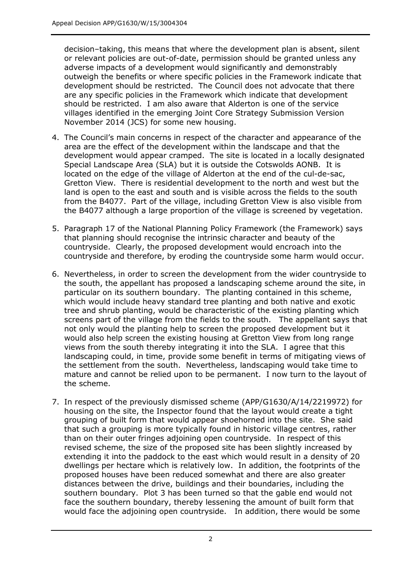decision–taking, this means that where the development plan is absent, silent or relevant policies are out-of-date, permission should be granted unless any adverse impacts of a development would significantly and demonstrably outweigh the benefits or where specific policies in the Framework indicate that development should be restricted. The Council does not advocate that there are any specific policies in the Framework which indicate that development should be restricted. I am also aware that Alderton is one of the service villages identified in the emerging Joint Core Strategy Submission Version November 2014 (JCS) for some new housing.

- 4. The Council's main concerns in respect of the character and appearance of the area are the effect of the development within the landscape and that the development would appear cramped. The site is located in a locally designated Special Landscape Area (SLA) but it is outside the Cotswolds AONB. It is located on the edge of the village of Alderton at the end of the cul-de-sac, Gretton View. There is residential development to the north and west but the land is open to the east and south and is visible across the fields to the south from the B4077. Part of the village, including Gretton View is also visible from the B4077 although a large proportion of the village is screened by vegetation.
- 5. Paragraph 17 of the National Planning Policy Framework (the Framework) says that planning should recognise the intrinsic character and beauty of the countryside. Clearly, the proposed development would encroach into the countryside and therefore, by eroding the countryside some harm would occur.
- 6. Nevertheless, in order to screen the development from the wider countryside to the south, the appellant has proposed a landscaping scheme around the site, in particular on its southern boundary. The planting contained in this scheme, which would include heavy standard tree planting and both native and exotic tree and shrub planting, would be characteristic of the existing planting which screens part of the village from the fields to the south. The appellant says that not only would the planting help to screen the proposed development but it would also help screen the existing housing at Gretton View from long range views from the south thereby integrating it into the SLA. I agree that this landscaping could, in time, provide some benefit in terms of mitigating views of the settlement from the south. Nevertheless, landscaping would take time to mature and cannot be relied upon to be permanent. I now turn to the layout of the scheme.
- 7. In respect of the previously dismissed scheme (APP/G1630/A/14/2219972) for housing on the site, the Inspector found that the layout would create a tight grouping of built form that would appear shoehorned into the site. She said that such a grouping is more typically found in historic village centres, rather than on their outer fringes adjoining open countryside. In respect of this revised scheme, the size of the proposed site has been slightly increased by extending it into the paddock to the east which would result in a density of 20 dwellings per hectare which is relatively low. In addition, the footprints of the proposed houses have been reduced somewhat and there are also greater distances between the drive, buildings and their boundaries, including the southern boundary. Plot 3 has been turned so that the gable end would not face the southern boundary, thereby lessening the amount of built form that would face the adjoining open countryside. In addition, there would be some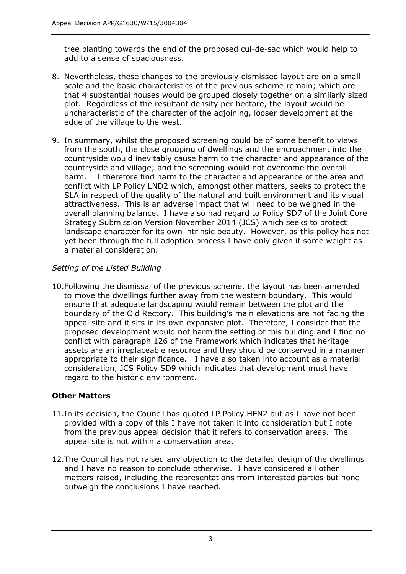tree planting towards the end of the proposed cul-de-sac which would help to add to a sense of spaciousness.

- 8. Nevertheless, these changes to the previously dismissed layout are on a small scale and the basic characteristics of the previous scheme remain; which are that 4 substantial houses would be grouped closely together on a similarly sized plot. Regardless of the resultant density per hectare, the layout would be uncharacteristic of the character of the adjoining, looser development at the edge of the village to the west.
- 9. In summary, whilst the proposed screening could be of some benefit to views from the south, the close grouping of dwellings and the encroachment into the countryside would inevitably cause harm to the character and appearance of the countryside and village; and the screening would not overcome the overall harm. I therefore find harm to the character and appearance of the area and conflict with LP Policy LND2 which, amongst other matters, seeks to protect the SLA in respect of the quality of the natural and built environment and its visual attractiveness. This is an adverse impact that will need to be weighed in the overall planning balance. I have also had regard to Policy SD7 of the Joint Core Strategy Submission Version November 2014 (JCS) which seeks to protect landscape character for its own intrinsic beauty. However, as this policy has not yet been through the full adoption process I have only given it some weight as a material consideration.

## *Setting of the Listed Building*

10.Following the dismissal of the previous scheme, the layout has been amended to move the dwellings further away from the western boundary. This would ensure that adequate landscaping would remain between the plot and the boundary of the Old Rectory. This building's main elevations are not facing the appeal site and it sits in its own expansive plot. Therefore, I consider that the proposed development would not harm the setting of this building and I find no conflict with paragraph 126 of the Framework which indicates that heritage assets are an irreplaceable resource and they should be conserved in a manner appropriate to their significance. I have also taken into account as a material consideration, JCS Policy SD9 which indicates that development must have regard to the historic environment.

## **Other Matters**

- 11.In its decision, the Council has quoted LP Policy HEN2 but as I have not been provided with a copy of this I have not taken it into consideration but I note from the previous appeal decision that it refers to conservation areas. The appeal site is not within a conservation area.
- 12.The Council has not raised any objection to the detailed design of the dwellings and I have no reason to conclude otherwise. I have considered all other matters raised, including the representations from interested parties but none outweigh the conclusions I have reached.